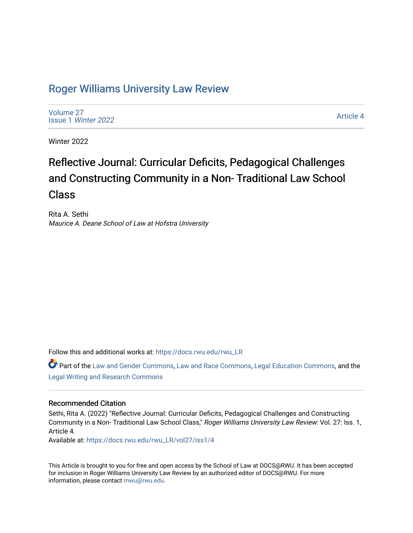# [Roger Williams University Law Review](https://docs.rwu.edu/rwu_LR)

[Volume 27](https://docs.rwu.edu/rwu_LR/vol27) Issue 1 [Winter 2022](https://docs.rwu.edu/rwu_LR/vol27/iss1) 

[Article 4](https://docs.rwu.edu/rwu_LR/vol27/iss1/4) 

Winter 2022

# Reflective Journal: Curricular Deficits, Pedagogical Challenges and Constructing Community in a Non- Traditional Law School Class

Rita A. Sethi Maurice A. Deane School of Law at Hofstra University

Follow this and additional works at: [https://docs.rwu.edu/rwu\\_LR](https://docs.rwu.edu/rwu_LR?utm_source=docs.rwu.edu%2Frwu_LR%2Fvol27%2Fiss1%2F4&utm_medium=PDF&utm_campaign=PDFCoverPages) 

Part of the [Law and Gender Commons,](http://network.bepress.com/hgg/discipline/1298?utm_source=docs.rwu.edu%2Frwu_LR%2Fvol27%2Fiss1%2F4&utm_medium=PDF&utm_campaign=PDFCoverPages) [Law and Race Commons,](http://network.bepress.com/hgg/discipline/1300?utm_source=docs.rwu.edu%2Frwu_LR%2Fvol27%2Fiss1%2F4&utm_medium=PDF&utm_campaign=PDFCoverPages) [Legal Education Commons,](http://network.bepress.com/hgg/discipline/857?utm_source=docs.rwu.edu%2Frwu_LR%2Fvol27%2Fiss1%2F4&utm_medium=PDF&utm_campaign=PDFCoverPages) and the [Legal Writing and Research Commons](http://network.bepress.com/hgg/discipline/614?utm_source=docs.rwu.edu%2Frwu_LR%2Fvol27%2Fiss1%2F4&utm_medium=PDF&utm_campaign=PDFCoverPages) 

# Recommended Citation

Sethi, Rita A. (2022) "Reflective Journal: Curricular Deficits, Pedagogical Challenges and Constructing Community in a Non- Traditional Law School Class," Roger Williams University Law Review: Vol. 27: Iss. 1, Article 4.

Available at: [https://docs.rwu.edu/rwu\\_LR/vol27/iss1/4](https://docs.rwu.edu/rwu_LR/vol27/iss1/4?utm_source=docs.rwu.edu%2Frwu_LR%2Fvol27%2Fiss1%2F4&utm_medium=PDF&utm_campaign=PDFCoverPages) 

This Article is brought to you for free and open access by the School of Law at DOCS@RWU. It has been accepted for inclusion in Roger Williams University Law Review by an authorized editor of DOCS@RWU. For more information, please contact [mwu@rwu.edu](mailto:mwu@rwu.edu).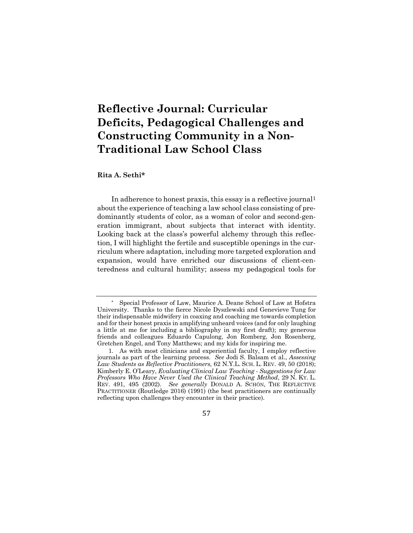# **Reflective Journal: Curricular Deficits, Pedagogical Challenges and Constructing Community in a Non-Traditional Law School Class**

**Rita A. Sethi\***

In adherence to honest praxis, this essay is a reflective journal1 about the experience of teaching a law school class consisting of predominantly students of color, as a woman of color and second-generation immigrant, about subjects that interact with identity. Looking back at the class's powerful alchemy through this reflection, I will highlight the fertile and susceptible openings in the curriculum where adaptation, including more targeted exploration and expansion, would have enriched our discussions of client-centeredness and cultural humility; assess my pedagogical tools for

57

Special Professor of Law, Maurice A. Deane School of Law at Hofstra University. Thanks to the fierce Nicole Dyszlewski and Genevieve Tung for their indispensable midwifery in coaxing and coaching me towards completion and for their honest praxis in amplifying unheard voices (and for only laughing a little at me for including a bibliography in my first draft); my generous friends and colleagues Eduardo Capulong, Jon Romberg, Jon Rosenberg, Gretchen Engel, and Tony Matthews; and my kids for inspiring me.

<sup>1.</sup> As with most clinicians and experiential faculty, I employ reflective journals as part of the learning process. *See* Jodi S. Balsam et al., *Assessing Law Students as Reflective Practitioners,* 62 N.Y.L. SCH. L. REV. 49, 50 (2018); Kimberly E. O'Leary, *Evaluating Clinical Law Teaching - Suggestions for Law Professors Who Have Never Used the Clinical Teaching Method*, 29 N. KY. L. REV. 491, 495 (2002). *See generally* DONALD A. SCHÖN, THE REFLECTIVE PRACTITIONER (Routledge 2016) (1991) (the best practitioners are continually reflecting upon challenges they encounter in their practice).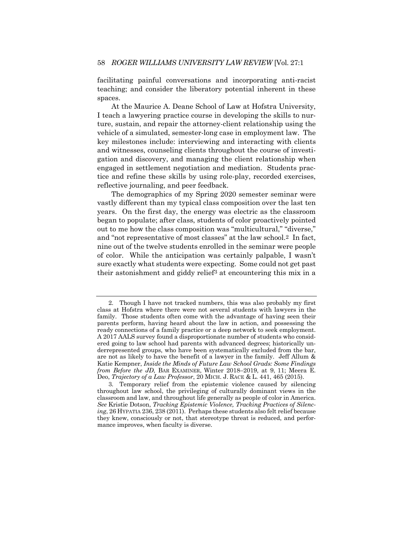# 58 *ROGER WILLIAMS UNIVERSITY LAW REVIEW* [Vol. 27:1

facilitating painful conversations and incorporating anti-racist teaching; and consider the liberatory potential inherent in these spaces.

At the Maurice A. Deane School of Law at Hofstra University, I teach a lawyering practice course in developing the skills to nurture, sustain, and repair the attorney-client relationship using the vehicle of a simulated, semester-long case in employment law. The key milestones include: interviewing and interacting with clients and witnesses, counseling clients throughout the course of investigation and discovery, and managing the client relationship when engaged in settlement negotiation and mediation. Students practice and refine these skills by using role-play, recorded exercises, reflective journaling, and peer feedback.

The demographics of my Spring 2020 semester seminar were vastly different than my typical class composition over the last ten years. On the first day, the energy was electric as the classroom began to populate; after class, students of color proactively pointed out to me how the class composition was "multicultural," "diverse," and "not representative of most classes" at the law school.2 In fact, nine out of the twelve students enrolled in the seminar were people of color. While the anticipation was certainly palpable, I wasn't sure exactly what students were expecting. Some could not get past their astonishment and giddy relief<sup>3</sup> at encountering this mix in a

<sup>2.</sup> Though I have not tracked numbers, this was also probably my first class at Hofstra where there were not several students with lawyers in the family. Those students often come with the advantage of having seen their parents perform, having heard about the law in action, and possessing the ready connections of a family practice or a deep network to seek employment. A 2017 AALS survey found a disproportionate number of students who considered going to law school had parents with advanced degrees; historically underrepresented groups, who have been systematically excluded from the bar, are not as likely to have the benefit of a lawyer in the family. Jeff Allum & Katie Kempner, *Inside the Minds of Future Law School Grads: Some Findings from Before the JD*, BAR EXAMINER, Winter 2018–2019, at 9, 11; Meera E. Deo, *Trajectory of a Law Professor*, 20 MICH. J. RACE & L. 441, 465 (2015).

<sup>3.</sup> Temporary relief from the epistemic violence caused by silencing throughout law school, the privileging of culturally dominant views in the classroom and law, and throughout life generally as people of color in America. *See* Kristie Dotson, *Tracking Epistemic Violence, Tracking Practices of Silencing*, 26 HYPATIA 236, 238 (2011). Perhaps these students also felt relief because they knew, consciously or not, that stereotype threat is reduced, and performance improves, when faculty is diverse.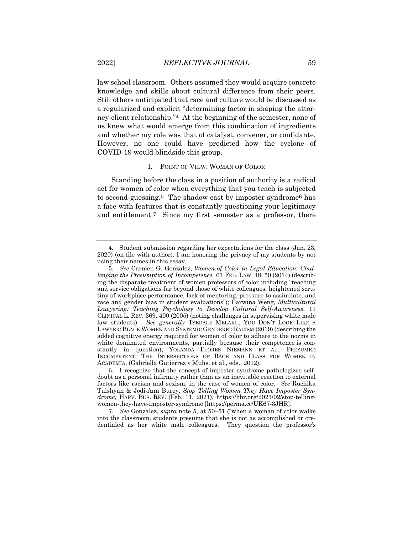law school classroom. Others assumed they would acquire concrete knowledge and skills about cultural difference from their peers. Still others anticipated that race and culture would be discussed as a regularized and explicit "determining factor in shaping the attorney-client relationship."4 At the beginning of the semester, none of us knew what would emerge from this combination of ingredients and whether my role was that of catalyst, convener, or confidante. However, no one could have predicted how the cyclone of COVID-19 would blindside this group.

### I. POINT OF VIEW: WOMAN OF COLOR

Standing before the class in a position of authority is a radical act for women of color when everything that you teach is subjected to second-guessing.5 The shadow cast by imposter syndrome6 has a face with features that is constantly questioning your legitimacy and entitlement.7 Since my first semester as a professor, there

<sup>4.</sup> Student submission regarding her expectations for the class (Jan. 23, 2020) (on file with author). I am honoring the privacy of my students by not using their names in this essay.

<sup>5</sup>*. See* Carmen G. Gonzalez, *Women of Color in Legal Education: Challenging the Presumption of Incompetence,* 61 FED. LAW. 48, 50 (2014) (describing the disparate treatment of women professors of color including "teaching and service obligations far beyond those of white colleagues, heightened scrutiny of workplace performance, lack of mentoring, pressure to assimilate, and race and gender bias in student evaluations"); Carwina Weng, *Multicultural Lawyering: Teaching Psychology to Develop Cultural Self-Awareness*, 11 CLINICAL L. REV. 369, 400 (2005) (noting challenges in supervising white male law students). See generally TSEDALE MELAKU, YOU DON'T LOOK LIKE A LAWYER: BLACK WOMEN AND SYSTEMIC GENDERED RACISM (2019) (describing the added cognitive energy required for women of color to adhere to the norms in white dominated environments, partially because their competence is constantly in question); YOLANDA FLORES NIEMANN ET AL., PRESUMED INCOMPETENT: THE INTERSECTIONS OF RACE AND CLASS FOR WOMEN IN ACADEMIA, (Gabriella Gutierrez y Muhs, et al., eds., 2012).

<sup>6.</sup> I recognize that the concept of imposter syndrome pathologizes selfdoubt as a personal infirmity rather than as an inevitable reaction to external factors like racism and sexism, in the case of women of color. *See* Ruchika Tulshyan & Jodi-Ann Burey, *Stop Telling Women They Have Imposter Syndrome*, HARV. BUS. REV. (Feb. 11, 2021), https://hbr.org/2021/02/stop-tellingwomen-they-have-imposter-syndrome [https://perma.cc/UK67-3JHR].

<sup>7</sup>*. See* Gonzalez, *supra* note 5, at 50–51 ("when a woman of color walks into the classroom, students presume that she is not as accomplished or credentialed as her white male colleagues. They question the professor's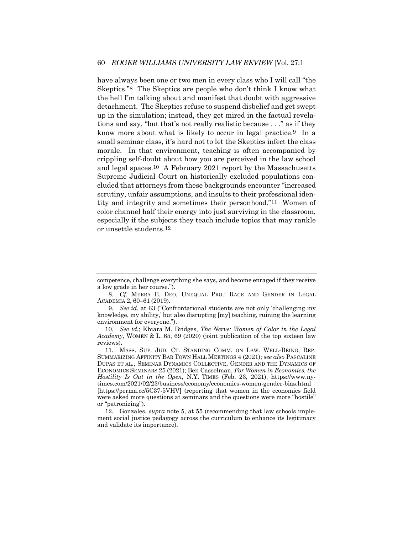have always been one or two men in every class who I will call "the Skeptics."8 The Skeptics are people who don't think I know what the hell I'm talking about and manifest that doubt with aggressive detachment. The Skeptics refuse to suspend disbelief and get swept up in the simulation; instead, they get mired in the factual revelations and say, "but that's not really realistic because . . ." as if they know more about what is likely to occur in legal practice.9 In a small seminar class, it's hard not to let the Skeptics infect the class morale. In that environment, teaching is often accompanied by crippling self-doubt about how you are perceived in the law school and legal spaces.10 A February 2021 report by the Massachusetts Supreme Judicial Court on historically excluded populations concluded that attorneys from these backgrounds encounter "increased scrutiny, unfair assumptions, and insults to their professional identity and integrity and sometimes their personhood."11 Women of color channel half their energy into just surviving in the classroom, especially if the subjects they teach include topics that may rankle or unsettle students.12

competence, challenge everything she says, and become enraged if they receive a low grade in her course.").

<sup>8</sup>*. Cf.* MEERA E. DEO, UNEQUAL PRO.: RACE AND GENDER IN LEGAL ACADEMIA 2, 60–61 (2019).

<sup>9</sup>*. See id.* at 63 ("Confrontational students are not only 'challenging my knowledge, my ability,' but also disrupting [my] teaching, ruining the learning environment for everyone.").

<sup>10</sup>*. See id.*; Khiara M. Bridges, *The Nerve: Women of Color in the Legal Academy*, WOMEN & L. 65, 69 (2020) (joint publication of the top sixteen law reviews).

<sup>11.</sup> MASS. SUP. JUD. CT. STANDING COMM. ON LAW. WELL-BEING, REP. SUMMARIZING AFFINITY BAR TOWN HALL MEETINGS 4 (2021); *see also* PASCALINE DUPAS ET AL., SEMINAR DYNAMICS COLLECTIVE, GENDER AND THE DYNAMICS OF ECONOMICS SEMINARS 25 (2021); Ben Casselman, *For Women in Economics, the Hostility Is Out in the Open*, N.Y. TIMES (Feb. 23, 2021), https://www.nytimes.com/2021/02/23/business/economy/economics-women-gender-bias.html [https://perma.cc/5C37-5VHV] (reporting that women in the economics field were asked more questions at seminars and the questions were more "hostile" or "patronizing").

<sup>12.</sup> Gonzales, *supra* note 5, at 55 (recommending that law schools implement social justice pedagogy across the curriculum to enhance its legitimacy and validate its importance).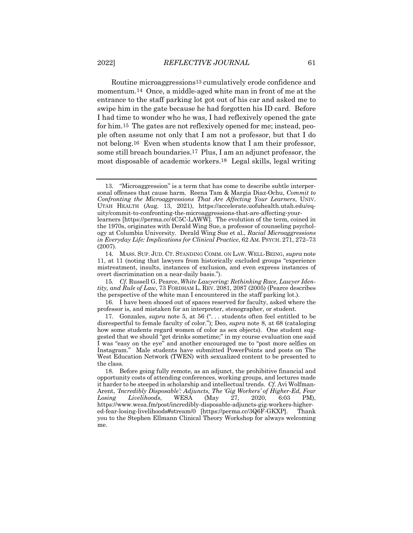Routine microaggressions13 cumulatively erode confidence and momentum.14 Once, a middle-aged white man in front of me at the entrance to the staff parking lot got out of his car and asked me to swipe him in the gate because he had forgotten his ID card. Before I had time to wonder who he was, I had reflexively opened the gate for him.15 The gates are not reflexively opened for me; instead, people often assume not only that I am not a professor, but that I do not belong.16 Even when students know that I am their professor, some still breach boundaries.17 Plus, I am an adjunct professor, the most disposable of academic workers.18 Legal skills, legal writing

15*. Cf.* Russell G. Pearce, *White Lawyering: Rethinking Race, Lawyer Identity, and Rule of Law*, 73 FORDHAM L. REV. 2081, 2087 (2005) (Pearce describes the perspective of the white man I encountered in the staff parking lot.).

16. I have been shooed out of spaces reserved for faculty, asked where the professor is, and mistaken for an interpreter, stenographer, or student.

17. Gonzales, *supra* note 5, at 56 (". . . students often feel entitled to be disrespectful to female faculty of color."); Deo, *supra* note 8, at 68 (cataloging how some students regard women of color as sex objects). One student suggested that we should "get drinks sometime;" in my course evaluation one said I was "easy on the eye" and another encouraged me to "post more selfies on Instagram." Male students have submitted PowerPoints and posts on The West Education Network (TWEN) with sexualized content to be presented to the class.

<sup>13.</sup> "Microaggression" is a term that has come to describe subtle interpersonal offenses that cause harm. Reena Tam & Margia Diaz-Ochu, *Commit to Confronting the Microaggressions That Are Affecting Your Learners*, UNIV. UTAH HEALTH (Aug. 13, 2021), https://accelerate.uofuhealth.utah.edu/equity/commit-to-confronting-the-microaggressions-that-are-affecting-yourlearners [https://perma.cc/4C5C-LAWW]. The evolution of the term, coined in the 1970s, originates with Derald Wing Sue, a professor of counseling psychology at Columbia University. Derald Wing Sue et al., *Racial Microaggressions in Everyday Life: Implications for Clinical Practice*, 62 AM. PSYCH. 271, 272–73 (2007).

<sup>14.</sup> MASS. SUP. JUD. CT. STANDING COMM. ON LAW. WELL-BEING, *supra* note 11, at 11 (noting that lawyers from historically excluded groups "experience mistreatment, insults, instances of exclusion, and even express instances of overt discrimination on a near-daily basis.").

<sup>18.</sup> Before going fully remote, as an adjunct, the prohibitive financial and opportunity costs of attending conferences, working groups, and lectures made it harder to be steeped in scholarship and intellectual trends. *Cf.* Avi Wolfman-Arent, *'Incredibly Disposable': Adjuncts, The 'Gig Workers' of Higher-Ed, Fear Losing Livelihoods*, WESA (May 27, 2020, 6:03 PM), https://www.wesa.fm/post/incredibly-disposable-adjuncts-gig-workers-highered-fear-losing-livelihoods#stream/0 [https://perma.cc/3Q6F-GKXP]. Thank you to the Stephen Ellmann Clinical Theory Workshop for always welcoming me.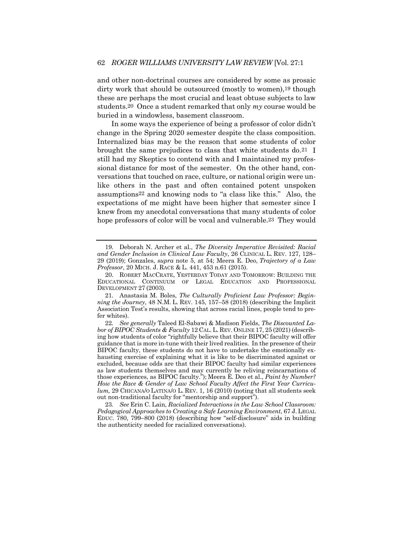and other non-doctrinal courses are considered by some as prosaic dirty work that should be outsourced (mostly to women),<sup>19</sup> though these are perhaps the most crucial and least obtuse subjects to law students.20 Once a student remarked that only *my* course would be buried in a windowless, basement classroom.

In some ways the experience of being a professor of color didn't change in the Spring 2020 semester despite the class composition. Internalized bias may be the reason that some students of color brought the same prejudices to class that white students do.21 I still had my Skeptics to contend with and I maintained my professional distance for most of the semester. On the other hand, conversations that touched on race, culture, or national origin were unlike others in the past and often contained potent unspoken assumptions22 and knowing nods to "a class like this." Also, the expectations of me might have been higher that semester since I knew from my anecdotal conversations that many students of color hope professors of color will be vocal and vulnerable.<sup>23</sup> They would

<sup>19.</sup> Deborah N. Archer et al., *The Diversity Imperative Revisited: Racial and Gender Inclusion in Clinical Law Faculty*, 26 CLINICAL L. REV. 127, 128– 29 (2019); Gonzales, *supra* note 5, at 54; Meera E. Deo, *Trajectory of a Law Professor*, 20 MICH. J. RACE & L. 441, 453 n.61 (2015).

<sup>20.</sup> ROBERT MACCRATE, YESTERDAY TODAY AND TOMORROW: BUILDING THE EDUCATIONAL CONTINUUM OF LEGAL EDUCATION AND PROFESSIONAL DEVELOPMENT 27 (2003).

<sup>21.</sup> Anastasia M. Boles, *The Culturally Proficient Law Professor: Beginning the Journey*, 48 N.M. L. REV. 145, 157–58 (2018) (describing the Implicit Association Test's results, showing that across racial lines, people tend to prefer whites).

<sup>22</sup>*. See generally* Taleed El-Sabawi & Madison Fields, *The Discounted Labor of BIPOC Students & Faculty* 12 CAL. L. REV. ONLINE 17, 25 (2021) (describing how students of color "rightfully believe that their BIPOC faculty will offer guidance that is more in-tune with their lived realities. In the presence of their BIPOC faculty, these students do not have to undertake the emotionally exhausting exercise of explaining what it is like to be discriminated against or excluded, because odds are that their BIPOC faculty had similar experiences as law students themselves and may currently be reliving reincarnations of those experiences, as BIPOC faculty."); Meera E. Deo et al., *Paint by Number? How the Race & Gender of Law School Faculty Affect the First Year Curriculum,* 29 CHICANA/O LATINA/O L. REV. 1, 16 (2010) (noting that all students seek out non-traditional faculty for "mentorship and support").

<sup>23</sup>*. See* Erin C. Lain, *Racialized Interactions in the Law School Classroom: Pedagogical Approaches to Creating a Safe Learning Environment*, 67 J. LEGAL EDUC. 780, 799–800 (2018) (describing how "self-disclosure" aids in building the authenticity needed for racialized conversations).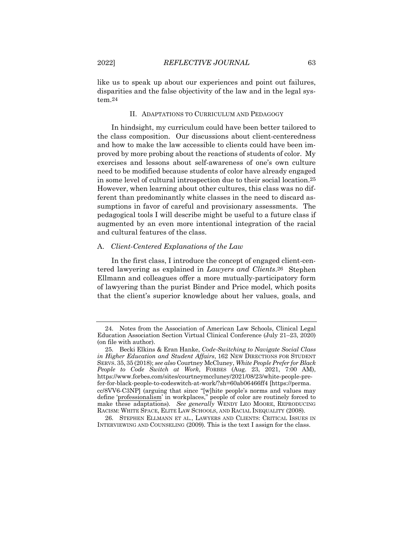like us to speak up about our experiences and point out failures, disparities and the false objectivity of the law and in the legal system.24

## II. ADAPTATIONS TO CURRICULUM AND PEDAGOGY

In hindsight, my curriculum could have been better tailored to the class composition. Our discussions about client-centeredness and how to make the law accessible to clients could have been improved by more probing about the reactions of students of color. My exercises and lessons about self-awareness of one's own culture need to be modified because students of color have already engaged in some level of cultural introspection due to their social location.25 However, when learning about other cultures, this class was no different than predominantly white classes in the need to discard assumptions in favor of careful and provisionary assessments. The pedagogical tools I will describe might be useful to a future class if augmented by an even more intentional integration of the racial and cultural features of the class.

#### A. *Client-Centered Explanations of the Law*

In the first class, I introduce the concept of engaged client-centered lawyering as explained in *Lawyers and Clients*.26 Stephen Ellmann and colleagues offer a more mutually-participatory form of lawyering than the purist Binder and Price model, which posits that the client's superior knowledge about her values, goals, and

26. STEPHEN ELLMANN ET AL., LAWYERS AND CLIENTS: CRITICAL ISSUES IN INTERVIEWING AND COUNSELING (2009)*.* This is the text I assign for the class.

<sup>24.</sup> Notes from the Association of American Law Schools, Clinical Legal Education Association Section Virtual Clinical Conference (July 21–23, 2020) (on file with author).

<sup>25.</sup> Becki Elkins & Eran Hanke, *Code*-*Switching to Navigate Social Class in Higher Education and Student Affairs*, 162 NEW DIRECTIONS FOR STUDENT SERVS. 35, 35 (2018); *see also* Courtney McCluney, *White People Prefer for Black People to Code Switch at Work*, FORBES (Aug. 23, 2021, 7:00 AM), https://www.forbes.com/sites/courtneymccluney/2021/08/23/white-people-prefer-for-black-people-to-codeswitch-at-work/?sh=60ab06466ff4 [https://perma. cc/8VV6-C3NP] (arguing that since "[w]hite people's norms and values may define 'professionalism' in workplaces," people of color are routinely forced to make these adaptations)*. See generally* WENDY LEO MOORE, REPRODUCING RACISM: WHITE SPACE, ELITE LAW SCHOOLS, AND RACIAL INEQUALITY (2008).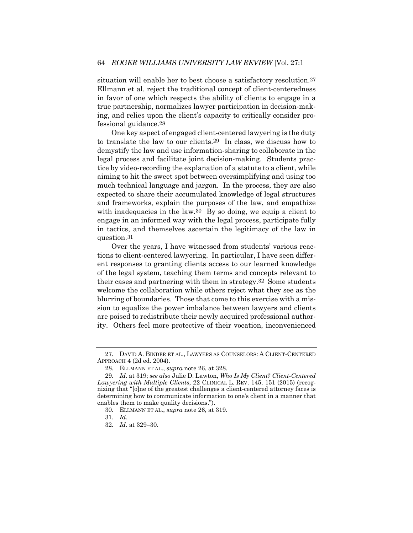situation will enable her to best choose a satisfactory resolution.27 Ellmann et al. reject the traditional concept of client-centeredness in favor of one which respects the ability of clients to engage in a true partnership, normalizes lawyer participation in decision-making, and relies upon the client's capacity to critically consider professional guidance.28

One key aspect of engaged client-centered lawyering is the duty to translate the law to our clients.29 In class, we discuss how to demystify the law and use information-sharing to collaborate in the legal process and facilitate joint decision-making. Students practice by video-recording the explanation of a statute to a client, while aiming to hit the sweet spot between oversimplifying and using too much technical language and jargon. In the process, they are also expected to share their accumulated knowledge of legal structures and frameworks, explain the purposes of the law, and empathize with inadequacies in the law.<sup>30</sup> By so doing, we equip a client to engage in an informed way with the legal process, participate fully in tactics, and themselves ascertain the legitimacy of the law in question.31

Over the years, I have witnessed from students' various reactions to client-centered lawyering. In particular, I have seen different responses to granting clients access to our learned knowledge of the legal system, teaching them terms and concepts relevant to their cases and partnering with them in strategy.32 Some students welcome the collaboration while others reject what they see as the blurring of boundaries. Those that come to this exercise with a mission to equalize the power imbalance between lawyers and clients are poised to redistribute their newly acquired professional authority. Others feel more protective of their vocation, inconvenienced

<sup>27.</sup> DAVID A. BINDER ET AL., LAWYERS AS COUNSELORS: A CLIENT-CENTERED APPROACH 4 (2d ed. 2004).

<sup>28.</sup> ELLMANN ET AL., *supra* note 26, at 328.

<sup>29</sup>*. Id.* at 319; *see also* Julie D. Lawton, *Who Is My Client? Client-Centered Lawyering with Multiple Clients*, 22 CLINICAL L. REV. 145, 151 (2015) (recognizing that "[o]ne of the greatest challenges a client-centered attorney faces is determining how to communicate information to one's client in a manner that enables them to make quality decisions.").

<sup>30.</sup> ELLMANN ET AL., *supra* note 26, at 319.

<sup>31</sup>*. Id.*

<sup>32</sup>*. Id.* at 329–30.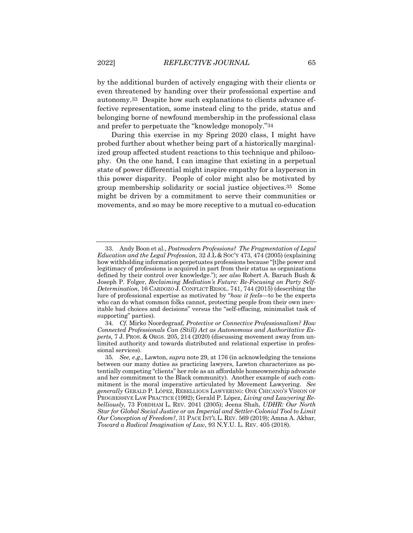by the additional burden of actively engaging with their clients or even threatened by handing over their professional expertise and autonomy.33 Despite how such explanations to clients advance effective representation, some instead cling to the pride, status and belonging borne of newfound membership in the professional class and prefer to perpetuate the "knowledge monopoly."34

During this exercise in my Spring 2020 class, I might have probed further about whether being part of a historically marginalized group affected student reactions to this technique and philosophy. On the one hand, I can imagine that existing in a perpetual state of power differential might inspire empathy for a layperson in this power disparity. People of color might also be motivated by group membership solidarity or social justice objectives.35 Some might be driven by a commitment to serve their communities or movements, and so may be more receptive to a mutual co-education

<sup>33.</sup> Andy Boon et al., *Postmodern Professions? The Fragmentation of Legal Education and the Legal Profession,* 32 J.L & SOC'Y 473, 474 (2005) (explaining how withholding information perpetuates professions because "[t]he power and legitimacy of professions is acquired in part from their status as organizations defined by their control over knowledge."); *see also* Robert A. Baruch Bush & Joseph P. Folger, *Reclaiming Mediation's Future: Re-Focusing on Party Self-Determination*, 16 CARDOZO J. CONFLICT RESOL. 741, 744 (2015) (describing the lure of professional expertise as motivated by "*how it feels—*to be the experts who can do what common folks cannot, protecting people from their own inevitable bad choices and decisions" versus the "self-effacing, minimalist task of supporting" parties).

<sup>34</sup>*. Cf.* Mirko Noordegraaf, *Protective or Connective Professionalism? How Connected Professionals Can (Still) Act as Autonomous and Authoritative Experts,* 7 J. PROS. & ORGS. 205, 214 (2020) (discussing movement away from unlimited authority and towards distributed and relational expertise in professional services).

<sup>35</sup>*. See, e.g.,* Lawton, *supra* note 29, at 176 (in acknowledging the tensions between our many duties as practicing lawyers, Lawton characterizes as potentially competing "clients" her role as an affordable homeownership advocate and her commitment to the Black community). Another example of such commitment is the moral imperative articulated by Movement Lawyering. *See generally* GERALD P. LÓPEZ, REBELLIOUS LAWYERING: ONE CHICANO'S VISION OF PROGRESSIVE LAW PRACTICE (1992); Gerald P. López, *Living and Lawyering Rebelliously*, 73 FORDHAM L. REV. 2041 (2005); Jeena Shah, *UDHR: Our North Star for Global Social Justice or an Imperial and Settler-Colonial Tool to Limit Our Conception of Freedom?*, 31 PACE INT'L L. REV. 569 (2019); Amna A. Akbar, *Toward a Radical Imagination of Law*, 93 N.Y.U. L. REV. 405 (2018).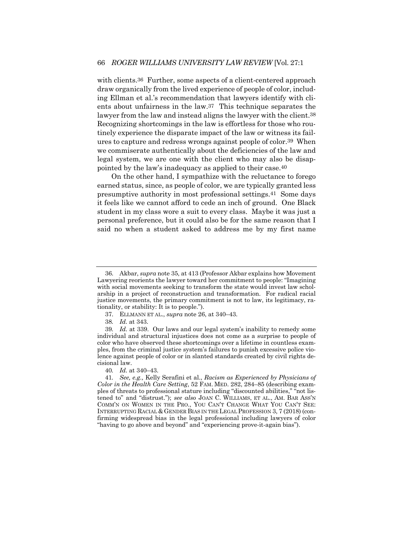with clients.<sup>36</sup> Further, some aspects of a client-centered approach draw organically from the lived experience of people of color, including Ellman et al.'s recommendation that lawyers identify with clients about unfairness in the law.37 This technique separates the lawyer from the law and instead aligns the lawyer with the client.<sup>38</sup> Recognizing shortcomings in the law is effortless for those who routinely experience the disparate impact of the law or witness its failures to capture and redress wrongs against people of color.39 When we commiserate authentically about the deficiencies of the law and legal system, we are one with the client who may also be disappointed by the law's inadequacy as applied to their case.40

On the other hand, I sympathize with the reluctance to forego earned status, since, as people of color, we are typically granted less presumptive authority in most professional settings.41 Some days it feels like we cannot afford to cede an inch of ground. One Black student in my class wore a suit to every class. Maybe it was just a personal preference, but it could also be for the same reason that I said no when a student asked to address me by my first name

40*. Id.* at 340–43.

<sup>36.</sup> Akbar, *supra* note 35, at 413 (Professor Akbar explains how Movement Lawyering reorients the lawyer toward her commitment to people: "Imagining with social movements seeking to transform the state would invest law scholarship in a project of reconstruction and transformation. For radical racial justice movements, the primary commitment is not to law, its legitimacy, rationality, or stability: It is to people.").

<sup>37.</sup> ELLMANN ET AL., *supra* note 26, at 340–43.

<sup>38</sup>*. Id.* at 343.

<sup>39</sup>*. Id.* at 339. Our laws and our legal system's inability to remedy some individual and structural injustices does not come as a surprise to people of color who have observed these shortcomings over a lifetime in countless examples, from the criminal justice system's failures to punish excessive police violence against people of color or in slanted standards created by civil rights decisional law.

<sup>41</sup>*. See, e.g.,* Kelly Serafini et al., *Racism as Experienced by Physicians of Color in the Health Care Setting*, 52 FAM. MED. 282, 284–85 (describing examples of threats to professional stature including "discounted abilities," "not listened to" and "distrust."); *see also* JOAN C. WILLIAMS, ET AL., AM. BAR ASS'N COMM'N ON WOMEN IN THE PRO., YOU CAN'T CHANGE WHAT YOU CAN'T SEE: INTERRUPTING RACIAL & GENDER BIAS IN THE LEGAL PROFESSION 3, 7 (2018) (confirming widespread bias in the legal professional including lawyers of color "having to go above and beyond" and "experiencing prove-it-again bias").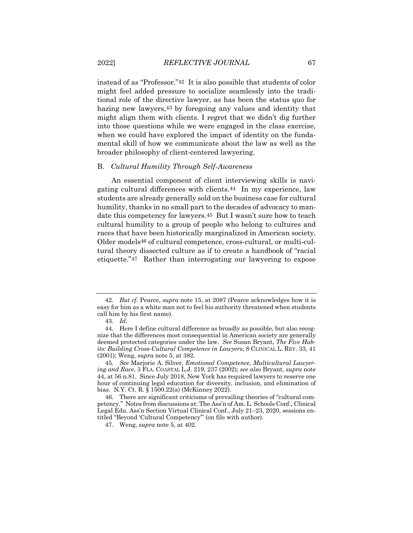instead of as "Professor."42 It is also possible that students of color might feel added pressure to socialize seamlessly into the traditional role of the directive lawyer, as has been the status quo for hazing new lawyers, 43 by foregoing any values and identity that might align them with clients. I regret that we didn't dig further into those questions while we were engaged in the class exercise, when we could have explored the impact of identity on the fundamental skill of how we communicate about the law as well as the broader philosophy of client-centered lawyering.

# B. *Cultural Humility Through Self-Awareness*

An essential component of client interviewing skills is navigating cultural differences with clients.44 In my experience, law students are already generally sold on the business case for cultural humility, thanks in no small part to the decades of advocacy to mandate this competency for lawyers.45 But I wasn't sure how to teach cultural humility to a group of people who belong to cultures and races that have been historically marginalized in American society. Older models46 of cultural competence, cross-cultural, or multi-cultural theory dissected culture as if to create a handbook of "racial etiquette."47 Rather than interrogating our lawyering to expose

<sup>42</sup>*. But cf.* Pearce, *supra* note 15, at 2087 (Pearce acknowledges how it is easy for him as a white man not to feel his authority threatened when students call him by his first name).

<sup>43</sup>*. Id*.

<sup>44.</sup> Here I define cultural difference as broadly as possible, but also recognize that the differences most consequential in American society are generally deemed protected categories under the law. *See* Susan Bryant, *The Five Habits: Building Cross-Cultural Competence in Lawyers*, 8 CLINICAL L. REV. 33, 41 (2001); Weng, *supra* note 5, at 382.

<sup>45</sup>*. See* Marjorie A. Silver, *Emotional Competence, Multicultural Lawyering and Race*, 3 FLA. COASTAL L.J. 219, 237 (2002); *see also* Bryant, *supra* note 44, at 56 n.81. Since July 2018, New York has required lawyers to reserve one hour of continuing legal education for diversity, inclusion, and elimination of bias. N.Y. Ct. R. § 1500.22(a) (McKinney 2022).

<sup>46.</sup> There are significant criticisms of prevailing theories of "cultural competency." Notes from discussions at: The Ass'n of Am. L. Schools Conf., Clinical Legal Edu. Ass'n Section Virtual Clinical Conf., July 21–23, 2020, sessions entitled "Beyond 'Cultural Competency'" (on file with author).

<sup>47.</sup> Weng, *supra* note 5, at 402.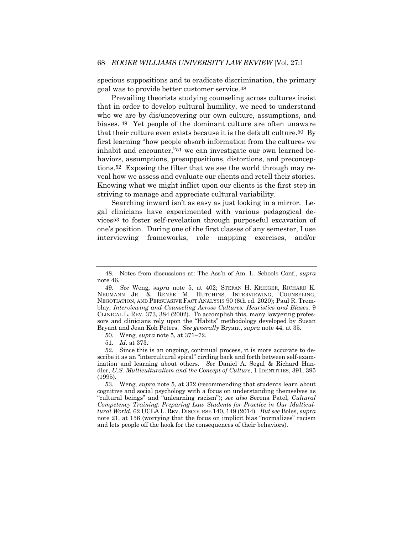specious suppositions and to eradicate discrimination, the primary goal was to provide better customer service.48

Prevailing theorists studying counseling across cultures insist that in order to develop cultural humility, we need to understand who we are by dis/uncovering our own culture, assumptions, and biases. 49 Yet people of the dominant culture are often unaware that their culture even exists because it is the default culture.50 By first learning "how people absorb information from the cultures we inhabit and encounter,"51 we can investigate our own learned behaviors, assumptions, presuppositions, distortions, and preconceptions.52 Exposing the filter that we see the world through may reveal how we assess and evaluate our clients and retell their stories. Knowing what we might inflict upon our clients is the first step in striving to manage and appreciate cultural variability.

Searching inward isn't as easy as just looking in a mirror. Legal clinicians have experimented with various pedagogical devices53 to foster self-revelation through purposeful excavation of one's position. During one of the first classes of any semester, I use interviewing frameworks, role mapping exercises, and/or

50. Weng*, supra* note 5, at 371–72.

51*. Id.* at 373.

<sup>48.</sup> Notes from discussions at: The Ass'n of Am. L. Schools Conf., *supra* note 46.

<sup>49</sup>*. See* Weng, *supra* note 5, at 402; STEFAN H. KRIEGER, RICHARD K. NEUMANN JR. & RENÉE M. HUTCHINS, INTERVIEWING, COUNSELING, NEGOTIATION, AND PERSUASIVE FACT ANALYSIS 90 (6th ed. 2020); Paul R. Tremblay, *Interviewing and Counseling Across Cultures: Heuristics and Biase*s, 9 CLINICAL L. REV. 373, 384 (2002). To accomplish this, many lawyering professors and clinicians rely upon the "Habits" methodology developed by Susan Bryant and Jean Koh Peters. *See generally* Bryant, *supra* note 44, at 35.

<sup>52.</sup> Since this is an ongoing, continual process, it is more accurate to describe it as an "intercultural spiral" circling back and forth between self-examination and learning about others. *See* Daniel A. Segal & Richard Handler, *U.S. Multiculturalism and the Concept of Culture*, 1 IDENTITIES, 391, 395 (1995).

<sup>53.</sup> Weng*, supra* note 5, at 372 (recommending that students learn about cognitive and social psychology with a focus on understanding themselves as "cultural beings" and "unlearning racism"); *see also* Serena Patel, *Cultural Competency Training: Preparing Law Students for Practice in Our Multicultural World*, 62 UCLA L. REV. DISCOURSE 140, 149 (2014). *But see* Boles, *supra*  note 21, at 156 (worrying that the focus on implicit bias "normalizes" racism and lets people off the hook for the consequences of their behaviors).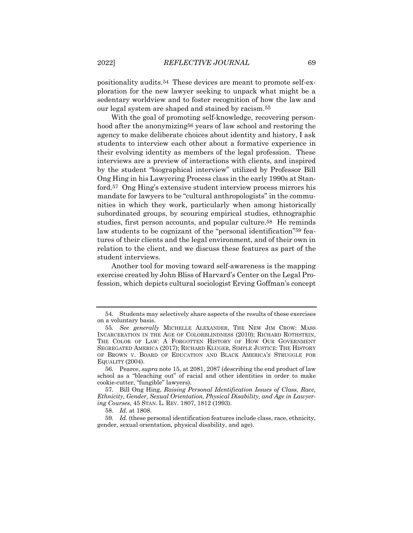positionality audits.54 These devices are meant to promote self-exploration for the new lawyer seeking to unpack what might be a sedentary worldview and to foster recognition of how the law and our legal system are shaped and stained by racism.55

With the goal of promoting self-knowledge, recovering personhood after the anonymizing<sup>56</sup> years of law school and restoring the agency to make deliberate choices about identity and history, I ask students to interview each other about a formative experience in their evolving identity as members of the legal profession. These interviews are a preview of interactions with clients, and inspired by the student "biographical interview" utilized by Professor Bill Ong Hing in his Lawyering Process class in the early 1990s at Stanford.57 Ong Hing's extensive student interview process mirrors his mandate for lawyers to be "cultural anthropologists" in the communities in which they work, particularly when among historically subordinated groups, by scouring empirical studies, ethnographic studies, first person accounts, and popular culture.58 He reminds law students to be cognizant of the "personal identification"59 features of their clients and the legal environment, and of their own in relation to the client, and we discuss these features as part of the student interviews.

Another tool for moving toward self-awareness is the mapping exercise created by John Bliss of Harvard's Center on the Legal Profession, which depicts cultural sociologist Erving Goffman's concept

<sup>54.</sup> Students may selectively share aspects of the results of these exercises on a voluntary basis.

<sup>55</sup>*. See generally* MICHELLE ALEXANDER, THE NEW JIM CROW: MASS INCARCERATION IN THE AGE OF COLORBLINDNESS (2010); RICHARD ROTHSTEIN, THE COLOR OF LAW: A FORGOTTEN HISTORY OF HOW OUR GOVERNMENT SEGREGATED AMERICA (2017); RICHARD KLUGER, SIMPLE JUSTICE: THE HISTORY OF BROWN V. BOARD OF EDUCATION AND BLACK AMERICA'S STRUGGLE FOR EQUALITY (2004).

<sup>56.</sup> Pearce, *supra* note 15, at 2081, 2087 (describing the end product of law school as a "bleaching out" of racial and other identities in order to make cookie-cutter, "fungible" lawyers).

<sup>57.</sup> Bill Ong Hing, *Raising Personal Identification Issues of Class, Race, Ethnicity, Gender, Sexual Orientation, Physical Disability, and Age in Lawyering Courses*, 45 STAN. L. REV. 1807, 1812 (1993).

<sup>58</sup>*. Id.* at 1808.

<sup>59</sup>*. Id.* (these personal identification features include class, race, ethnicity, gender, sexual orientation, physical disability, and age).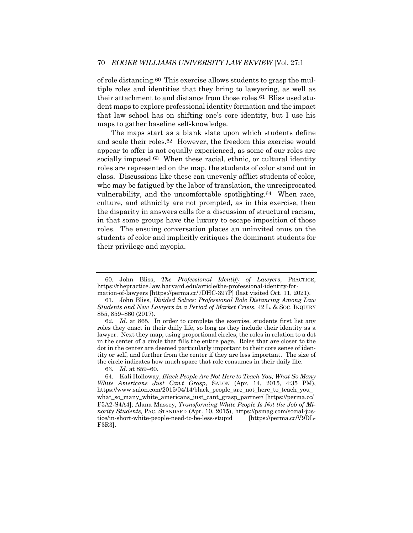of role distancing.60 This exercise allows students to grasp the multiple roles and identities that they bring to lawyering, as well as their attachment to and distance from those roles.61 Bliss used student maps to explore professional identity formation and the impact that law school has on shifting one's core identity, but I use his maps to gather baseline self-knowledge.

The maps start as a blank slate upon which students define and scale their roles.62 However, the freedom this exercise would appear to offer is not equally experienced, as some of our roles are socially imposed.<sup>63</sup> When these racial, ethnic, or cultural identity roles are represented on the map, the students of color stand out in class. Discussions like these can unevenly afflict students of color, who may be fatigued by the labor of translation, the unreciprocated vulnerability, and the uncomfortable spotlighting.64 When race, culture, and ethnicity are not prompted, as in this exercise, then the disparity in answers calls for a discussion of structural racism, in that some groups have the luxury to escape imposition of those roles. The ensuing conversation places an uninvited onus on the students of color and implicitly critiques the dominant students for their privilege and myopia.

63*. Id.* at 859–60.

<sup>60.</sup> John Bliss, *The Professional Identify of Lawyers*, PRACTICE, https://thepractice.law.harvard.edu/article/the-professional-identity-formation-of-lawyers [https://perma.cc/7DHC-397P] (last visited Oct. 11, 2021).

<sup>61.</sup> John Bliss, *Divided Selves: Professional Role Distancing Among Law Students and New Lawyers in a Period of Market Crisis*, 42 L. & SOC. INQUIRY 855, 859–860 (2017).

<sup>62</sup>*. Id.* at 865. In order to complete the exercise, students first list any roles they enact in their daily life, so long as they include their identity as a lawyer. Next they map, using proportional circles, the roles in relation to a dot in the center of a circle that fills the entire page. Roles that are closer to the dot in the center are deemed particularly important to their core sense of identity or self, and further from the center if they are less important. The size of the circle indicates how much space that role consumes in their daily life.

<sup>64.</sup> Kali Holloway, *Black People Are Not Here to Teach You; What So Many White Americans Just Can't Grasp*, SALON (Apr. 14, 2015, 4:35 PM), https://www.salon.com/2015/04/14/black\_people\_are\_not\_here\_to\_teach\_you\_ what so many white americans just cant grasp partner/ [https://perma.cc/ F5A2-S4A4]; Alana Massey, *Transforming White People Is Not the Job of Minority Students, PAC. STANDARD (Apr. 10, 2015), https://psmag.com/social-jus-<br>tice/in-short-white-people-need-to-be-less-stupid [https://perma.cc/V9DL*tice/in-short-white-people-need-to-be-less-stupid F3R3].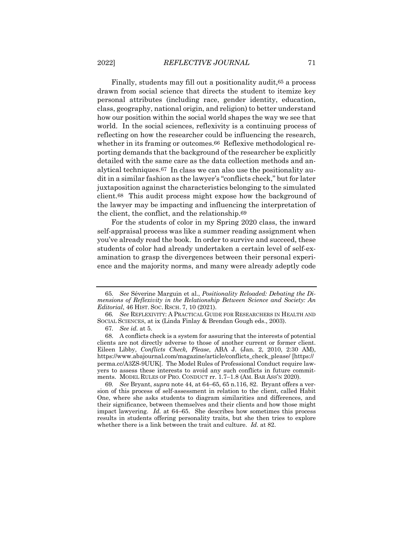Finally, students may fill out a positionality audit,  $65$  a process drawn from social science that directs the student to itemize key personal attributes (including race, gender identity, education, class, geography, national origin, and religion) to better understand how our position within the social world shapes the way we see that world. In the social sciences, reflexivity is a continuing process of reflecting on how the researcher could be influencing the research, whether in its framing or outcomes.<sup>66</sup> Reflexive methodological reporting demands that the background of the researcher be explicitly detailed with the same care as the data collection methods and analytical techniques.67 In class we can also use the positionality audit in a similar fashion as the lawyer's "conflicts check," but for later juxtaposition against the characteristics belonging to the simulated client.68 This audit process might expose how the background of the lawyer may be impacting and influencing the interpretation of the client, the conflict, and the relationship.69

For the students of color in my Spring 2020 class, the inward self-appraisal process was like a summer reading assignment when you've already read the book. In order to survive and succeed, these students of color had already undertaken a certain level of self-examination to grasp the divergences between their personal experience and the majority norms, and many were already adeptly code

69*. See* Bryant, *supra* note 44, at 64–65, 65 n.116, 82. Bryant offers a version of this process of self-assessment in relation to the client, called Habit One, where she asks students to diagram similarities and differences, and their significance, between themselves and their clients and how those might impact lawyering. *Id.* at 64–65. She describes how sometimes this process results in students offering personality traits, but she then tries to explore whether there is a link between the trait and culture. *Id.* at 82.

<sup>65</sup>*. See* Séverine Marguin et al., *Positionality Reloaded: Debating the Dimensions of Reflexivity in the Relationship Between Science and Society: An Editorial*, 46 HIST. SOC. RSCH. 7, 10 (2021).

<sup>66</sup>*. See* REFLEXIVITY: A PRACTICAL GUIDE FOR RESEARCHERS IN HEALTH AND SOCIAL SCIENCES, at ix (Linda Finlay & Brendan Gough eds., 2003).

<sup>67</sup>*. See id.* at 5.

<sup>68.</sup> A conflicts check is a system for assuring that the interests of potential clients are not directly adverse to those of another current or former client. Eileen Libby, *Conflicts Check, Please*, ABA J. (Jan. 2, 2010, 2:30 AM), https://www.abajournal.com/magazine/article/conflicts\_check\_please/ [https:// perma.cc/A3ZS-9UUK[. The Model Rules of Professional Conduct require lawyers to assess these interests to avoid any such conflicts in future commitments. MODEL RULES OF PRO. CONDUCT rr. 1.7–1.8 (AM. BAR ASS'N 2020).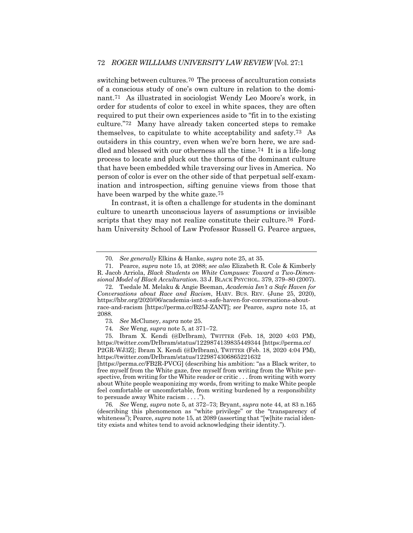switching between cultures.70 The process of acculturation consists of a conscious study of one's own culture in relation to the dominant.71 As illustrated in sociologist Wendy Leo Moore's work, in order for students of color to excel in white spaces, they are often required to put their own experiences aside to "fit in to the existing culture."72 Many have already taken concerted steps to remake themselves, to capitulate to white acceptability and safety.73 As outsiders in this country, even when we're born here, we are saddled and blessed with our otherness all the time.74 It is a life-long process to locate and pluck out the thorns of the dominant culture that have been embedded while traversing our lives in America. No person of color is ever on the other side of that perpetual self-examination and introspection, sifting genuine views from those that have been warped by the white gaze.75

In contrast, it is often a challenge for students in the dominant culture to unearth unconscious layers of assumptions or invisible scripts that they may not realize constitute their culture.<sup>76</sup> Fordham University School of Law Professor Russell G. Pearce argues,

<sup>70</sup>*. See generally* Elkins & Hanke, *supra* note 25, at 35.

<sup>71.</sup> Pearce, *supra* note 15, at 2088; *see also* Elizabeth R. Cole & Kimberly R. Jacob Arriola, *Black Students on White Campuses: Toward a Two-Dimensional Model of Black Acculturation*. 33 J. BLACK PSYCHOL. 379, 379–80 (2007).

<sup>72.</sup> Tsedale M. Melaku & Angie Beeman, *Academia Isn't a Safe Haven for Conversations about Race and Racism*, HARV. BUS. REV. (June 25, 2020), https://hbr.org/2020/06/academia-isnt-a-safe-haven-for-conversations-aboutrace-and-racism [https://perma.cc/B25J-ZANT]; *see* Pearce, *supra* note 15, at 2088.

<sup>73</sup>*. See* McCluney, *supra* note 25.

<sup>74</sup>*. See* Weng, *supra* note 5, at 371–72.

<sup>75.</sup> Ibram X. Kendi (@DrIbram), TWITTER (Feb. 18, 2020 4:03 PM), https://twitter.com/DrIbram/status/1229874139835449344 [https://perma.cc/ P2GR-WJ3Z]; Ibram X. Kendi (@DrIbram), TWITTER (Feb. 18, 2020 4:04 PM), https://twitter.com/DrIbram/status/1229874306865221632

<sup>[</sup>https://perma.cc/FB2R-PVCG] (describing his ambition: "as a Black writer, to free myself from the White gaze, free myself from writing from the White perspective, from writing for the White reader or critic . . . from writing with worry about White people weaponizing my words, from writing to make White people feel comfortable or uncomfortable, from writing burdened by a responsibility to persuade away White racism . . . .").

<sup>76</sup>*. See* Weng, *supra* note 5, at 372–73; Bryant, *supra* note 44, at 83 n.165 (describing this phenomenon as "white privilege" or the "transparency of whiteness"); Pearce, *supra* note 15, at 2089 (asserting that "[w] hite racial identity exists and whites tend to avoid acknowledging their identity.").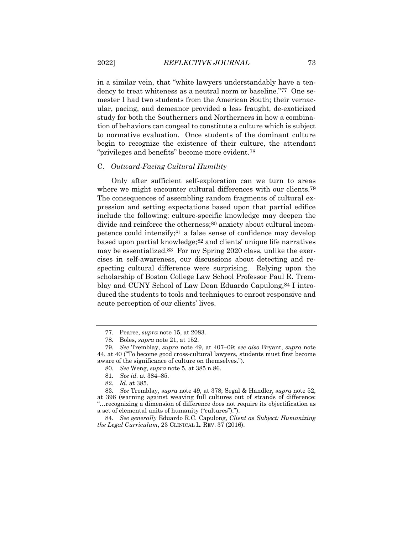in a similar vein, that "white lawyers understandably have a tendency to treat whiteness as a neutral norm or baseline."77 One semester I had two students from the American South; their vernacular, pacing, and demeanor provided a less fraught, de-exoticized study for both the Southerners and Northerners in how a combination of behaviors can congeal to constitute a culture which is subject to normative evaluation. Once students of the dominant culture begin to recognize the existence of their culture, the attendant "privileges and benefits" become more evident.78

# C. *Outward-Facing Cultural Humility*

Only after sufficient self-exploration can we turn to areas where we might encounter cultural differences with our clients.<sup>79</sup> The consequences of assembling random fragments of cultural expression and setting expectations based upon that partial edifice include the following: culture-specific knowledge may deepen the divide and reinforce the otherness;<sup>80</sup> anxiety about cultural incompetence could intensify;81 a false sense of confidence may develop based upon partial knowledge;82 and clients' unique life narratives may be essentialized.83 For my Spring 2020 class, unlike the exercises in self-awareness, our discussions about detecting and respecting cultural difference were surprising. Relying upon the scholarship of Boston College Law School Professor Paul R. Tremblay and CUNY School of Law Dean Eduardo Capulong,84 I introduced the students to tools and techniques to enroot responsive and acute perception of our clients' lives.

<sup>77.</sup> Pearce, *supra* note 15, at 2083.

<sup>78.</sup> Boles, *supra* note 21, at 152.

<sup>79</sup>*. See* Tremblay, *supra* note 49, at 407–09; *see also* Bryant, *supra* note 44, at 40 ("To become good cross-cultural lawyers, students must first become aware of the significance of culture on themselves.").

<sup>80</sup>*. See* Weng, *supra* note 5, at 385 n.86.

<sup>81</sup>*. See id.* at 384–85.

<sup>82</sup>*. Id.* at 385.

<sup>83</sup>*. See* Tremblay, *supra* note 49, at 378; Segal & Handler, *supra* note 52, at 396 (warning against weaving full cultures out of strands of difference: ... recognizing a dimension of difference does not require its objectification as a set of elemental units of humanity ("cultures").").

<sup>84</sup>*. See generally* Eduardo R.C. Capulong, *Client as Subject: Humanizing the Legal Curriculum*, 23 CLINICAL L. REV. 37 (2016).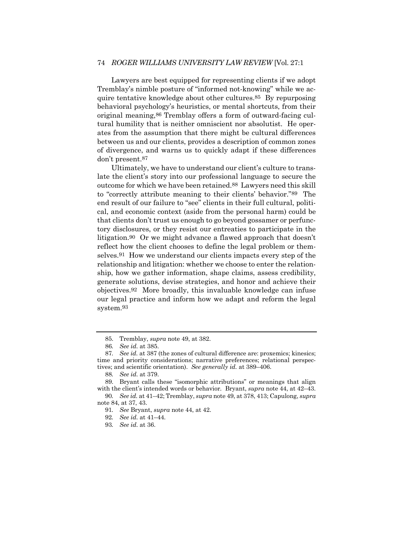# 74 *ROGER WILLIAMS UNIVERSITY LAW REVIEW* [Vol. 27:1

Lawyers are best equipped for representing clients if we adopt Tremblay's nimble posture of "informed not-knowing" while we acquire tentative knowledge about other cultures.85 By repurposing behavioral psychology's heuristics, or mental shortcuts, from their original meaning,86 Tremblay offers a form of outward-facing cultural humility that is neither omniscient nor absolutist. He operates from the assumption that there might be cultural differences between us and our clients, provides a description of common zones of divergence, and warns us to quickly adapt if these differences don't present.87

Ultimately, we have to understand our client's culture to translate the client's story into our professional language to secure the outcome for which we have been retained.88 Lawyers need this skill to "correctly attribute meaning to their clients' behavior."89 The end result of our failure to "see" clients in their full cultural, political, and economic context (aside from the personal harm) could be that clients don't trust us enough to go beyond gossamer or perfunctory disclosures, or they resist our entreaties to participate in the litigation.90 Or we might advance a flawed approach that doesn't reflect how the client chooses to define the legal problem or themselves.91 How we understand our clients impacts every step of the relationship and litigation: whether we choose to enter the relationship, how we gather information, shape claims, assess credibility, generate solutions, devise strategies, and honor and achieve their objectives.92 More broadly, this invaluable knowledge can infuse our legal practice and inform how we adapt and reform the legal system.93

<sup>85.</sup> Tremblay, *supra* note 49, at 382.

<sup>86</sup>*. See id.* at 385.

<sup>87</sup>*. See id.* at 387 (the zones of cultural difference are: proxemics; kinesics; time and priority considerations; narrative preferences; relational perspectives; and scientific orientation). *See generally id.* at 389–406.

<sup>88</sup>*. See id.* at 379.

<sup>89.</sup> Bryant calls these "isomorphic attributions" or meanings that align with the client's intended words or behavior*.* Bryant, *supra* note 44, at 42–43.

<sup>90</sup>*. See id.* at 41–42; Tremblay, *supra* note 49, at 378, 413; Capulong, *supra* note 84, at 37, 43.

<sup>91</sup>*. See* Bryant, *supra* note 44, at 42.

<sup>92</sup>*. See id.* at 41–44.

<sup>93</sup>*. See id.* at 36.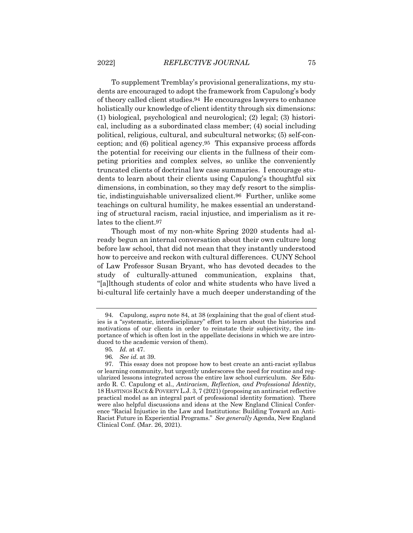To supplement Tremblay's provisional generalizations, my students are encouraged to adopt the framework from Capulong's body of theory called client studies.94 He encourages lawyers to enhance holistically our knowledge of client identity through six dimensions: (1) biological, psychological and neurological; (2) legal; (3) historical, including as a subordinated class member; (4) social including political, religious, cultural, and subcultural networks; (5) self-conception; and (6) political agency.95 This expansive process affords the potential for receiving our clients in the fullness of their competing priorities and complex selves, so unlike the conveniently truncated clients of doctrinal law case summaries. I encourage students to learn about their clients using Capulong's thoughtful six dimensions, in combination, so they may defy resort to the simplistic, indistinguishable universalized client.96 Further, unlike some teachings on cultural humility, he makes essential an understanding of structural racism, racial injustice, and imperialism as it relates to the client.97

Though most of my non-white Spring 2020 students had already begun an internal conversation about their own culture long before law school, that did not mean that they instantly understood how to perceive and reckon with cultural differences. CUNY School of Law Professor Susan Bryant, who has devoted decades to the study of culturally-attuned communication, explains that, "[a]lthough students of color and white students who have lived a bi-cultural life certainly have a much deeper understanding of the

<sup>94.</sup> Capulong, *supra* note 84, at 38 (explaining that the goal of client studies is a "systematic, interdisciplinary" effort to learn about the histories and motivations of our clients in order to reinstate their subjectivity, the importance of which is often lost in the appellate decisions in which we are introduced to the academic version of them).

<sup>95</sup>*. Id.* at 47.

<sup>96</sup>*. See id.* at 39.

<sup>97.</sup> This essay does not propose how to best create an anti-racist syllabus or learning community, but urgently underscores the need for routine and regularized lessons integrated across the entire law school curriculum. *See* Eduardo R. C. Capulong et al., *Antiracism, Reflection, and Professional Identity*, 18 HASTINGS RACE & POVERTY L.J. 3, 7 (2021) (proposing an antiracist reflective practical model as an integral part of professional identity formation). There were also helpful discussions and ideas at the New England Clinical Conference "Racial Injustice in the Law and Institutions: Building Toward an Anti-Racist Future in Experiential Programs." *See generally* Agenda, New England Clinical Conf. (Mar. 26, 2021).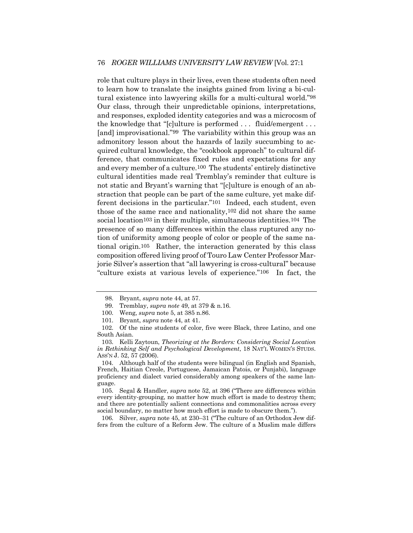role that culture plays in their lives, even these students often need to learn how to translate the insights gained from living a bi-cultural existence into lawyering skills for a multi-cultural world."98 Our class, through their unpredictable opinions, interpretations, and responses, exploded identity categories and was a microcosm of the knowledge that "[c]ulture is performed . . . fluid/emergent . . . [and] improvisational."99 The variability within this group was an admonitory lesson about the hazards of lazily succumbing to acquired cultural knowledge, the "cookbook approach" to cultural difference, that communicates fixed rules and expectations for any and every member of a culture.100 The students' entirely distinctive cultural identities made real Tremblay's reminder that culture is not static and Bryant's warning that "[c]ulture is enough of an abstraction that people can be part of the same culture, yet make different decisions in the particular."101 Indeed, each student, even those of the same race and nationality,102 did not share the same social location<sup>103</sup> in their multiple, simultaneous identities.<sup>104</sup> The presence of so many differences within the class ruptured any notion of uniformity among people of color or people of the same national origin.105 Rather, the interaction generated by this class composition offered living proof of Touro Law Center Professor Marjorie Silver's assertion that "all lawyering is cross-cultural" because "culture exists at various levels of experience."106 In fact, the

106. Silver, *supra* note 45, at 230–31 ("The culture of an Orthodox Jew differs from the culture of a Reform Jew. The culture of a Muslim male differs

<sup>98.</sup> Bryant, *supra* note 44, at 57.

<sup>99.</sup> Tremblay, *supra note* 49, at 379 & n.16.

<sup>100.</sup> Weng, *supra* note 5, at 385 n.86.

<sup>101.</sup> Bryant, *supra* note 44, at 41.

<sup>102.</sup> Of the nine students of color, five were Black, three Latino, and one South Asian.

<sup>103.</sup> Kelli Zaytoun, *Theorizing at the Borders: Considering Social Location in Rethinking Self and Psychological Development*, 18 NAT'L WOMEN'S STUDS. ASS'N J. 52, 57 (2006).

<sup>104.</sup> Although half of the students were bilingual (in English and Spanish, French, Haitian Creole, Portuguese, Jamaican Patois, or Punjabi), language proficiency and dialect varied considerably among speakers of the same language.

<sup>105.</sup> Segal & Handler, *supra* note 52, at 396 ("There are differences within every identity-grouping, no matter how much effort is made to destroy them; and there are potentially salient connections and commonalities across every social boundary, no matter how much effort is made to obscure them.").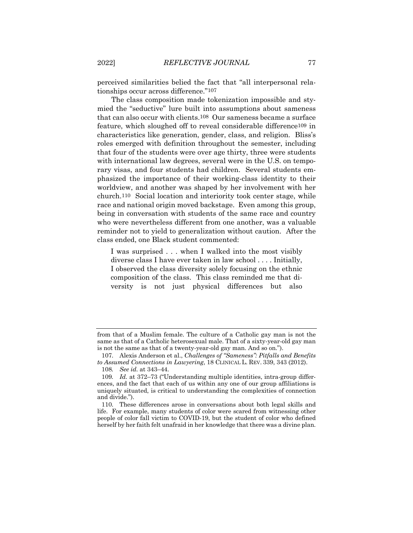perceived similarities belied the fact that "all interpersonal relationships occur across difference."107

The class composition made tokenization impossible and stymied the "seductive" lure built into assumptions about sameness that can also occur with clients.108 Our sameness became a surface feature, which sloughed off to reveal considerable difference109 in characteristics like generation, gender, class, and religion. Bliss's roles emerged with definition throughout the semester, including that four of the students were over age thirty, three were students with international law degrees, several were in the U.S. on temporary visas, and four students had children. Several students emphasized the importance of their working-class identity to their worldview, and another was shaped by her involvement with her church.110 Social location and interiority took center stage, while race and national origin moved backstage. Even among this group, being in conversation with students of the same race and country who were nevertheless different from one another, was a valuable reminder not to yield to generalization without caution. After the class ended, one Black student commented:

I was surprised . . . when I walked into the most visibly diverse class I have ever taken in law school . . . . Initially, I observed the class diversity solely focusing on the ethnic composition of the class. This class reminded me that diversity is not just physical differences but also

from that of a Muslim female. The culture of a Catholic gay man is not the same as that of a Catholic heterosexual male. That of a sixty-year-old gay man is not the same as that of a twenty-year-old gay man. And so on.").

<sup>107.</sup> Alexis Anderson et al., *Challenges of "Sameness": Pitfalls and Benefits to Assumed Connections in Lawyering*, 18 CLINICAL L. REV. 339, 343 (2012).

<sup>108</sup>*. See id.* at 343–44.

<sup>109</sup>*. Id.* at 372–73 ("Understanding multiple identities, intra-group differences, and the fact that each of us within any one of our group affiliations is uniquely situated, is critical to understanding the complexities of connection and divide.").

<sup>110.</sup> These differences arose in conversations about both legal skills and life. For example, many students of color were scared from witnessing other people of color fall victim to COVID-19, but the student of color who defined herself by her faith felt unafraid in her knowledge that there was a divine plan.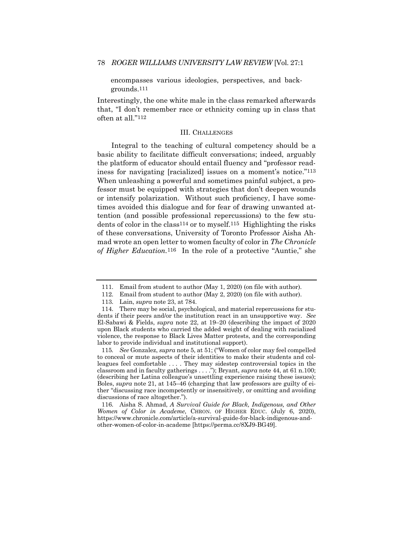encompasses various ideologies, perspectives, and backgrounds.111

Interestingly, the one white male in the class remarked afterwards that, "I don't remember race or ethnicity coming up in class that often at all."112

#### III. CHALLENGES

Integral to the teaching of cultural competency should be a basic ability to facilitate difficult conversations; indeed, arguably the platform of educator should entail fluency and "professor readiness for navigating [racialized] issues on a moment's notice."113 When unleashing a powerful and sometimes painful subject, a professor must be equipped with strategies that don't deepen wounds or intensify polarization. Without such proficiency, I have sometimes avoided this dialogue and for fear of drawing unwanted attention (and possible professional repercussions) to the few students of color in the class114 or to myself.115 Highlighting the risks of these conversations, University of Toronto Professor Aisha Ahmad wrote an open letter to women faculty of color in *The Chronicle of Higher Education.*116 In the role of a protective "Auntie," she

116. Aisha S. Ahmad, *A Survival Guide for Black, Indigenous, and Other Women of Color in Academe*, CHRON. OF HIGHER EDUC. (July 6, 2020), https://www.chronicle.com/article/a-survival-guide-for-black-indigenous-andother-women-of-color-in-academe [https://perma.cc/8XJ9-BG49].

<sup>111.</sup> Email from student to author (May 1, 2020) (on file with author).

<sup>112.</sup> Email from student to author (May 2, 2020) (on file with author).

<sup>113.</sup> Lain, *supra* note 23, at 784.

<sup>114.</sup> There may be social, psychological, and material repercussions for students if their peers and/or the institution react in an unsupportive way. *See*  El-Sabawi & Fields, *supra* note 22, at 19–20 (describing the impact of 2020 upon Black students who carried the added weight of dealing with racialized violence, the response to Black Lives Matter protests, and the corresponding labor to provide individual and institutional support).

<sup>115</sup>*. See* Gonzalez, *supra* note 5, at 51; ("Women of color may feel compelled to conceal or mute aspects of their identities to make their students and colleagues feel comfortable . . . . They may sidestep controversial topics in the classroom and in faculty gatherings . . . ."); Bryant, *supra* note 44, at 61 n.100; (describing her Latina colleague's unsettling experience raising these issues); Boles, *supra* note 21, at 145–46 (charging that law professors are guilty of either "discussing race incompetently or insensitively, or omitting and avoiding discussions of race altogether.").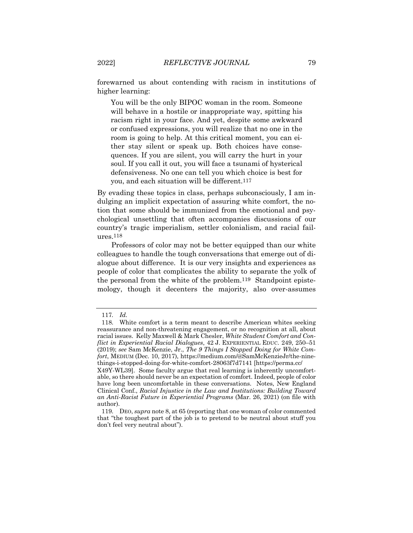forewarned us about contending with racism in institutions of higher learning:

You will be the only BIPOC woman in the room. Someone will behave in a hostile or inappropriate way, spitting his racism right in your face. And yet, despite some awkward or confused expressions, you will realize that no one in the room is going to help. At this critical moment, you can either stay silent or speak up. Both choices have consequences. If you are silent, you will carry the hurt in your soul. If you call it out, you will face a tsunami of hysterical defensiveness. No one can tell you which choice is best for you, and each situation will be different.117

By evading these topics in class, perhaps subconsciously, I am indulging an implicit expectation of assuring white comfort, the notion that some should be immunized from the emotional and psychological unsettling that often accompanies discussions of our country's tragic imperialism, settler colonialism, and racial failures.118

Professors of color may not be better equipped than our white colleagues to handle the tough conversations that emerge out of dialogue about difference. It is our very insights and experiences as people of color that complicates the ability to separate the yolk of the personal from the white of the problem.119 Standpoint epistemology, though it decenters the majority, also over-assumes

<sup>117</sup>*. Id.*

<sup>118.</sup> White comfort is a term meant to describe American whites seeking reassurance and non-threatening engagement, or no recognition at all, about racial issues. Kelly Maxwell & Mark Chesler, *White Student Comfort and Conflict in Experiential Racial Dialogues*, 42 J. EXPERIENTIAL EDUC. 249, 250–51 (2019); *see* Sam McKenzie, Jr., *The 9 Things I Stopped Doing for White Comfort*, MEDIUM (Dec. 10, 2017), https://medium.com/@SamMcKenzieJr/the-ninethings-i-stopped-doing-for-white-comfort-28063f7d7141 [https://perma.cc/

X49Y-WL39]. Some faculty argue that real learning is inherently uncomfortable, so there should never be an expectation of comfort. Indeed, people of color have long been uncomfortable in these conversations. Notes, New England Clinical Conf., *Racial Injustice in the Law and Institutions: Building Toward an Anti-Racist Future in Experiential Programs* (Mar. 26, 2021) (on file with author).

<sup>119.</sup> DEO, *supra* note 8, at 65 (reporting that one woman of color commented that "the toughest part of the job is to pretend to be neutral about stuff you don't feel very neutral about").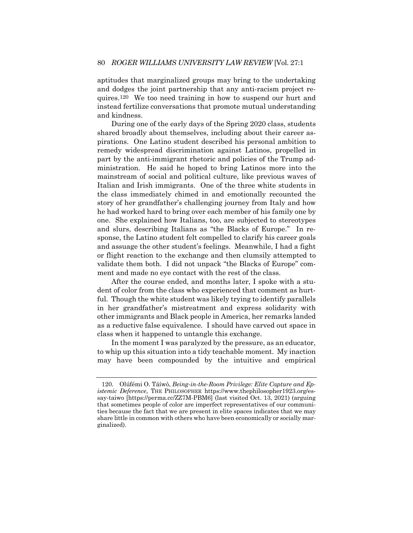aptitudes that marginalized groups may bring to the undertaking and dodges the joint partnership that any anti-racism project requires.120 We too need training in how to suspend our hurt and instead fertilize conversations that promote mutual understanding and kindness.

During one of the early days of the Spring 2020 class, students shared broadly about themselves, including about their career aspirations. One Latino student described his personal ambition to remedy widespread discrimination against Latinos, propelled in part by the anti-immigrant rhetoric and policies of the Trump administration. He said he hoped to bring Latinos more into the mainstream of social and political culture, like previous waves of Italian and Irish immigrants. One of the three white students in the class immediately chimed in and emotionally recounted the story of her grandfather's challenging journey from Italy and how he had worked hard to bring over each member of his family one by one. She explained how Italians, too, are subjected to stereotypes and slurs, describing Italians as "the Blacks of Europe." In response, the Latino student felt compelled to clarify his career goals and assuage the other student's feelings. Meanwhile, I had a fight or flight reaction to the exchange and then clumsily attempted to validate them both. I did not unpack "the Blacks of Europe" comment and made no eye contact with the rest of the class.

After the course ended, and months later, I spoke with a student of color from the class who experienced that comment as hurtful. Though the white student was likely trying to identify parallels in her grandfather's mistreatment and express solidarity with other immigrants and Black people in America, her remarks landed as a reductive false equivalence. I should have carved out space in class when it happened to untangle this exchange.

In the moment I was paralyzed by the pressure, as an educator, to whip up this situation into a tidy teachable moment. My inaction may have been compounded by the intuitive and empirical

<sup>120.</sup> Olúfémi O. Táíwò, *Being-in-the-Room Privilege: Elite Capture and Epistemic Deference*, THE PHILOSOPHER https://www.thephilosopher1923.org/essay-taiwo [https://perma.cc/ZZ7M-PBM6] (last visited Oct. 13, 2021) (arguing that sometimes people of color are imperfect representatives of our communities because the fact that we are present in elite spaces indicates that we may share little in common with others who have been economically or socially marginalized).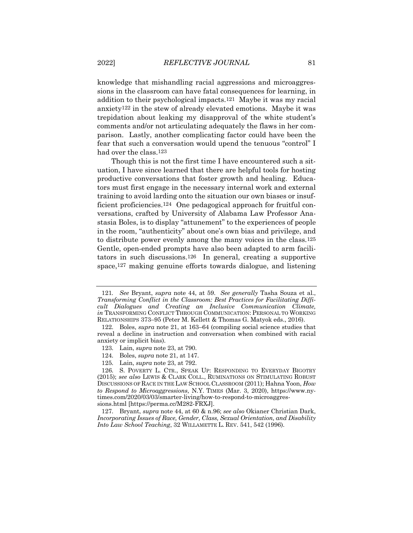knowledge that mishandling racial aggressions and microaggressions in the classroom can have fatal consequences for learning, in addition to their psychological impacts.121 Maybe it was my racial anxiety122 in the stew of already elevated emotions. Maybe it was trepidation about leaking my disapproval of the white student's comments and/or not articulating adequately the flaws in her comparison. Lastly, another complicating factor could have been the fear that such a conversation would upend the tenuous "control" I had over the class.123

Though this is not the first time I have encountered such a situation, I have since learned that there are helpful tools for hosting productive conversations that foster growth and healing. Educators must first engage in the necessary internal work and external training to avoid larding onto the situation our own biases or insufficient proficiencies.124 One pedagogical approach for fruitful conversations, crafted by University of Alabama Law Professor Anastasia Boles, is to display "attunement" to the experiences of people in the room, "authenticity" about one's own bias and privilege, and to distribute power evenly among the many voices in the class.125 Gentle, open-ended prompts have also been adapted to arm facilitators in such discussions.126 In general, creating a supportive space,127 making genuine efforts towards dialogue, and listening

125. Lain, *supra* note 23, at 792.

<sup>121</sup>*. See* Bryant, *supra* note 44, at 59. *See generally* Tasha Souza et al., *Transforming Conflict in the Classroom: Best Practices for Facilitating Difficult Dialogues and Creating an Inclusive Communication Climate, in* TRANSFORMING CONFLICT THROUGH COMMUNICATION: PERSONAL TO WORKING RELATIONSHIPS 373–95 (Peter M. Kellett & Thomas G. Matyok eds., 2016).

<sup>122.</sup> Boles, *supra* note 21, at 163–64 (compiling social science studies that reveal a decline in instruction and conversation when combined with racial anxiety or implicit bias).

<sup>123.</sup> Lain, *supra* note 23, at 790.

<sup>124.</sup> Boles, *supra* note 21, at 147.

<sup>126.</sup> S. POVERTY L. CTR., SPEAK UP: RESPONDING TO EVERYDAY BIGOTRY (2015); *see also* LEWIS & CLARK COLL., RUMINATIONS ON STIMULATING ROBUST DISCUSSIONS OF RACE IN THE LAW SCHOOL CLASSROOM (2011); Hahna Yoon, *How to Respond to Microaggressions*, N.Y. TIMES (Mar. 3, 2020), https://www.nytimes.com/2020/03/03/smarter-living/how-to-respond-to-microaggressions.html [https://perma.cc/M282-FRXJ].

<sup>127.</sup> Bryant, *supra* note 44, at 60 & n.96; *see also* Okianer Christian Dark, *Incorporating Issues of Race, Gender, Class, Sexual Orientation, and Disability Into Law School Teaching*, 32 WILLAMETTE L. REV. 541, 542 (1996).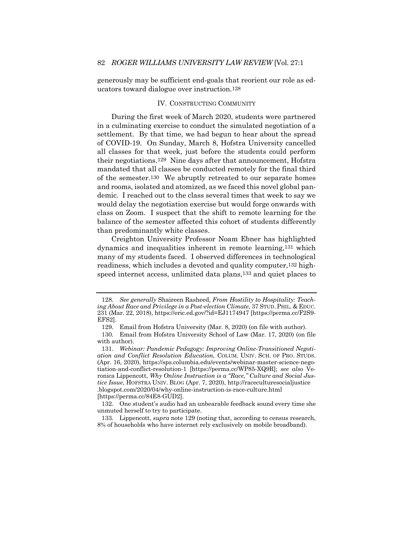generously may be sufficient end-goals that reorient our role as educators toward dialogue over instruction.128

# IV. CONSTRUCTING COMMUNITY

During the first week of March 2020, students were partnered in a culminating exercise to conduct the simulated negotiation of a settlement. By that time, we had begun to hear about the spread of COVID-19. On Sunday, March 8, Hofstra University cancelled all classes for that week, just before the students could perform their negotiations.129 Nine days after that announcement, Hofstra mandated that all classes be conducted remotely for the final third of the semester.130 We abruptly retreated to our separate homes and rooms, isolated and atomized, as we faced this novel global pandemic. I reached out to the class several times that week to say we would delay the negotiation exercise but would forge onwards with class on Zoom. I suspect that the shift to remote learning for the balance of the semester affected this cohort of students differently than predominantly white classes.

Creighton University Professor Noam Ebner has highlighted dynamics and inequalities inherent in remote learning,131 which many of my students faced. I observed differences in technological readiness, which includes a devoted and quality computer,132 highspeed internet access, unlimited data plans,133 and quiet places to

<sup>128</sup>*. See generally* Shaireen Rasheed, *From Hostility to Hospitality: Teaching About Race and Privilege in a Post*-*election Climate*, 37 STUD.PHIL. & EDUC. 231 (Mar. 22, 2018), https://eric.ed.gov/?id=EJ1174947 [https://perma.cc/F2S9- EFS2].

<sup>129.</sup> Email from Hofstra University (Mar. 8, 2020) (on file with author).

<sup>130.</sup> Email from Hofstra University School of Law (Mar. 17, 2020) (on file with author).

<sup>131.</sup> *Webinar: Pandemic Pedagogy: Improving Online-Transitioned Negotiation and Conflict Resolution Education*, COLUM. UNIV. SCH. OF PRO. STUDS. (Apr. 16, 2020), https://sps.columbia.edu/events/webinar-master-science-negotiation-and-conflict-resolution-1 [https://perma.cc/WP85-XQ9R]; *see also* Veronica Lippencott, *Why Online Instruction is a "Race," Culture and Social Justice Issue*, HOFSTRA UNIV. BLOG (Apr. 7, 2020), http://raceculturesocialjustice .blogspot.com/2020/04/why-online-instruction-is-race-culture.html [https://perma.cc/84E8-GUD2].

<sup>132.</sup> One student's audio had an unbearable feedback sound every time she unmuted herself to try to participate.

<sup>133.</sup> Lippencott, *supra* note 129 (noting that, according to census research, 8% of households who have internet rely exclusively on mobile broadband).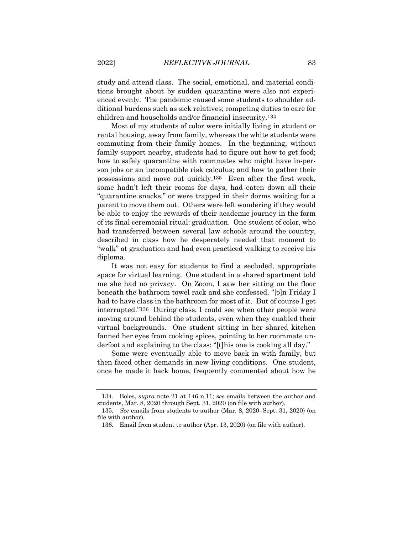study and attend class. The social, emotional, and material conditions brought about by sudden quarantine were also not experienced evenly. The pandemic caused some students to shoulder additional burdens such as sick relatives; competing duties to care for children and households and/or financial insecurity.134

Most of my students of color were initially living in student or rental housing, away from family, whereas the white students were commuting from their family homes. In the beginning, without family support nearby, students had to figure out how to get food; how to safely quarantine with roommates who might have in-person jobs or an incompatible risk calculus; and how to gather their possessions and move out quickly.135 Even after the first week, some hadn't left their rooms for days, had eaten down all their "quarantine snacks," or were trapped in their dorms waiting for a parent to move them out. Others were left wondering if they would be able to enjoy the rewards of their academic journey in the form of its final ceremonial ritual: graduation. One student of color, who had transferred between several law schools around the country, described in class how he desperately needed that moment to "walk" at graduation and had even practiced walking to receive his diploma.

It was not easy for students to find a secluded, appropriate space for virtual learning. One student in a shared apartment told me she had no privacy. On Zoom, I saw her sitting on the floor beneath the bathroom towel rack and she confessed, "[o]n Friday I had to have class in the bathroom for most of it. But of course I get interrupted."136 During class, I could see when other people were moving around behind the students, even when they enabled their virtual backgrounds. One student sitting in her shared kitchen fanned her eyes from cooking spices, pointing to her roommate underfoot and explaining to the class: "[t]his one is cooking all day."

Some were eventually able to move back in with family, but then faced other demands in new living conditions. One student, once he made it back home, frequently commented about how he

<sup>134.</sup> Boles, *supra* note 21 at 146 n.11; *see* emails between the author and students, Mar. 8, 2020 through Sept. 31, 2020 (on file with author).

<sup>135</sup>*. See* emails from students to author (Mar. 8, 2020–Sept. 31, 2020) (on file with author).

<sup>136.</sup> Email from student to author (Apr. 13, 2020) (on file with author).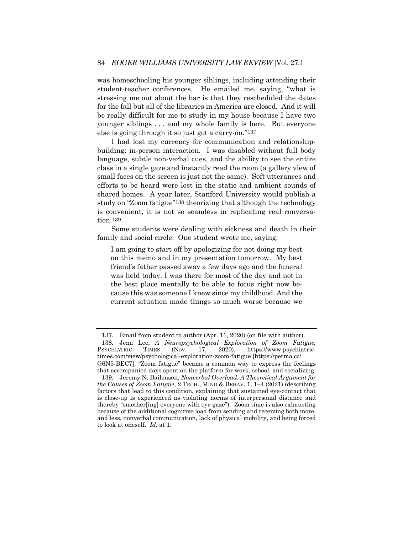was homeschooling his younger siblings, including attending their student-teacher conferences. He emailed me, saying, "what is stressing me out about the bar is that they rescheduled the dates for the fall but all of the libraries in America are closed. And it will be really difficult for me to study in my house because I have two younger siblings . . . and my whole family is here. But everyone else is going through it so just got a carry-on."137

I had lost my currency for communication and relationshipbuilding: in-person interaction. I was disabled without full body language, subtle non-verbal cues, and the ability to see the entire class in a single gaze and instantly read the room (a gallery view of small faces on the screen is just not the same). Soft utterances and efforts to be heard were lost in the static and ambient sounds of shared homes. A year later, Stanford University would publish a study on "Zoom fatigue"138 theorizing that although the technology is convenient, it is not so seamless in replicating real conversation.139

Some students were dealing with sickness and death in their family and social circle. One student wrote me, saying:

I am going to start off by apologizing for not doing my best on this memo and in my presentation tomorrow. My best friend's father passed away a few days ago and the funeral was held today. I was there for most of the day and not in the best place mentally to be able to focus right now because this was someone I knew since my childhood. And the current situation made things so much worse because we

<sup>137.</sup> Email from student to author (Apr. 11, 2020) (on file with author).

<sup>138.</sup> Jena Lee, *A Neuropsychological Exploration of Zoom Fatigue,* PSYCHIATRIC TIMES (Nov. 17, 2020), https://www.psychiatrictimes.com/view/psychological-exploration-zoom-fatigue [https://perma.cc/ G6N5-BEC7]. "Zoom fatigue" became a common way to express the feelings

that accompanied days spent on the platform for work, school, and socializing. 139. Jeremy N. Bailenson, *Nonverbal Overload: A Theoretical Argument for the Causes of Zoom Fatigue*, 2 TECH., MIND & BEHAV. 1, 1–4 (2021) (describing factors that lead to this condition, explaining that sustained eye-contact that is close-up is experienced as violating norms of interpersonal distance and thereby "smother[ing] everyone with eye gaze"). Zoom time is also exhausting because of the additional cognitive load from sending and receiving both more, and less, nonverbal communication, lack of physical mobility, and being forced to look at oneself. *Id.* at 1.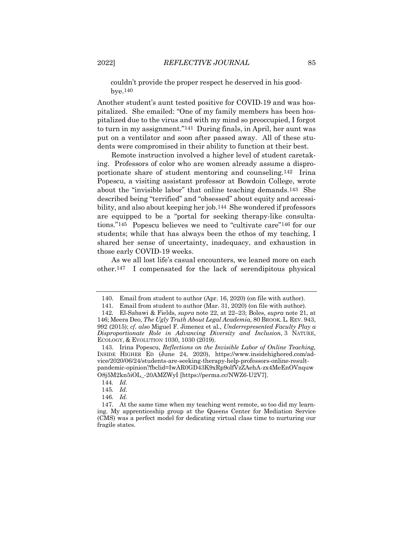couldn't provide the proper respect he deserved in his goodbye.140

Another student's aunt tested positive for COVID-19 and was hospitalized. She emailed: "One of my family members has been hospitalized due to the virus and with my mind so preoccupied, I forgot to turn in my assignment."141 During finals, in April, her aunt was put on a ventilator and soon after passed away. All of these students were compromised in their ability to function at their best.

Remote instruction involved a higher level of student caretaking. Professors of color who are women already assume a disproportionate share of student mentoring and counseling.142 Irina Popescu, a visiting assistant professor at Bowdoin College, wrote about the "invisible labor" that online teaching demands.143 She described being "terrified" and "obsessed" about equity and accessibility, and also about keeping her job.144 She wondered if professors are equipped to be a "portal for seeking therapy-like consultations."145 Popescu believes we need to "cultivate care"146 for our students; while that has always been the ethos of my teaching, I shared her sense of uncertainty, inadequacy, and exhaustion in those early COVID-19 weeks.

As we all lost life's casual encounters, we leaned more on each other.147 I compensated for the lack of serendipitous physical

<sup>140.</sup> Email from student to author (Apr. 16, 2020) (on file with author).

<sup>141.</sup> Email from student to author (Mar. 31, 2020) (on file with author).

<sup>142.</sup> El-Sabawi & Fields, *supra* note 22, at 22–23; Boles, *supra* note 21, at 146; Meera Deo, *The Ugly Truth About Legal Academia,* 80 BROOK.L. REV. 943, 992 (2015); *cf. also* Miguel F. Jimenez et al., *Underrepresented Faculty Play a Disproportionate Role in Advancing Diversity and Inclusion*, 3 NATURE, ECOLOGY, & EVOLUTION 1030, 1030 (2019).

<sup>143.</sup> Irina Popescu, *Reflections on the Invisible Labor of Online Teaching,* INSIDE HIGHER ED (June 24, 2020), https://www.insidehighered.com/advice/2020/06/24/students-are-seeking-therapy-help-professors-online-resultpandemic-opinion?fbclid=IwAR0GD43K9xRp9olfVzZAehA-zx4MeEnOVnquw O8j5M2kn5iOL\_-20AMZWyI [https://perma.cc/NWZ6-U2V7].

<sup>144</sup>*. Id.*

<sup>145</sup>*. Id.*

<sup>146</sup>*. Id.*

<sup>147.</sup> At the same time when my teaching went remote, so too did my learning. My apprenticeship group at the Queens Center for Mediation Service (CMS) was a perfect model for dedicating virtual class time to nurturing our fragile states.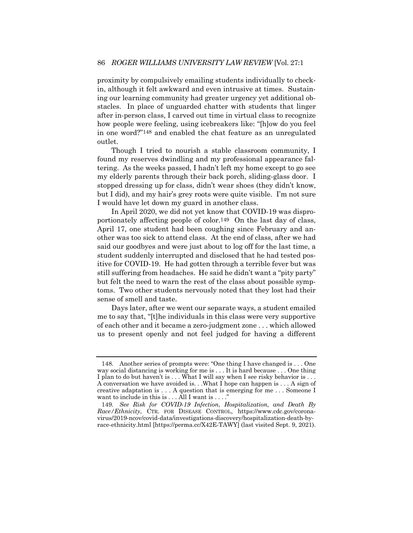proximity by compulsively emailing students individually to checkin, although it felt awkward and even intrusive at times. Sustaining our learning community had greater urgency yet additional obstacles. In place of unguarded chatter with students that linger after in-person class, I carved out time in virtual class to recognize how people were feeling, using icebreakers like: "[h]ow do you feel in one word?"148 and enabled the chat feature as an unregulated outlet.

Though I tried to nourish a stable classroom community, I found my reserves dwindling and my professional appearance faltering. As the weeks passed, I hadn't left my home except to go see my elderly parents through their back porch, sliding-glass door. I stopped dressing up for class, didn't wear shoes (they didn't know, but I did), and my hair's grey roots were quite visible. I'm not sure I would have let down my guard in another class.

In April 2020, we did not yet know that COVID-19 was disproportionately affecting people of color.149 On the last day of class, April 17, one student had been coughing since February and another was too sick to attend class. At the end of class, after we had said our goodbyes and were just about to log off for the last time, a student suddenly interrupted and disclosed that he had tested positive for COVID-19. He had gotten through a terrible fever but was still suffering from headaches. He said he didn't want a "pity party" but felt the need to warn the rest of the class about possible symptoms. Two other students nervously noted that they lost had their sense of smell and taste.

Days later, after we went our separate ways, a student emailed me to say that, "[t]he individuals in this class were very supportive of each other and it became a zero-judgment zone . . . which allowed us to present openly and not feel judged for having a different

<sup>148.</sup> Another series of prompts were: "One thing I have changed is . . . One way social distancing is working for me is . . . It is hard because . . . One thing I plan to do but haven't is . . . What I will say when I see risky behavior is . . . A conversation we have avoided is. . .What I hope can happen is . . . A sign of creative adaptation is . . . A question that is emerging for me . . . Someone I want to include in this is  $\dots$  All I want is  $\dots$ .

<sup>149</sup>*. See Risk for COVID-19 Infection, Hospitalization, and Death By Race/Ethnicity*, CTR. FOR DISEASE CONTROL, https://www.cdc.gov/coronavirus/2019-ncov/covid-data/investigations-discovery/hospitalization-death-byrace-ethnicity.html [https://perma.cc/X42E-TAWY] (last visited Sept. 9, 2021).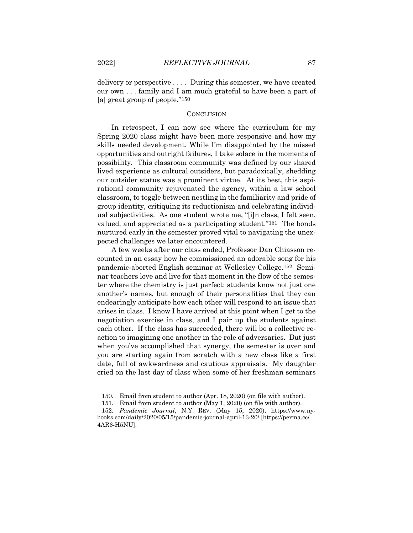delivery or perspective . . . . During this semester, we have created our own . . . family and I am much grateful to have been a part of [a] great group of people."150

### **CONCLUSION**

In retrospect, I can now see where the curriculum for my Spring 2020 class might have been more responsive and how my skills needed development. While I'm disappointed by the missed opportunities and outright failures, I take solace in the moments of possibility. This classroom community was defined by our shared lived experience as cultural outsiders, but paradoxically, shedding our outsider status was a prominent virtue. At its best, this aspirational community rejuvenated the agency, within a law school classroom, to toggle between nestling in the familiarity and pride of group identity, critiquing its reductionism and celebrating individual subjectivities. As one student wrote me, "[i]n class, I felt seen, valued, and appreciated as a participating student."151 The bonds nurtured early in the semester proved vital to navigating the unexpected challenges we later encountered.

A few weeks after our class ended, Professor Dan Chiasson recounted in an essay how he commissioned an adorable song for his pandemic-aborted English seminar at Wellesley College.152 Seminar teachers love and live for that moment in the flow of the semester where the chemistry is just perfect: students know not just one another's names, but enough of their personalities that they can endearingly anticipate how each other will respond to an issue that arises in class. I know I have arrived at this point when I get to the negotiation exercise in class, and I pair up the students against each other. If the class has succeeded, there will be a collective reaction to imagining one another in the role of adversaries. But just when you've accomplished that synergy, the semester is over and you are starting again from scratch with a new class like a first date, full of awkwardness and cautious appraisals. My daughter cried on the last day of class when some of her freshman seminars

<sup>150.</sup> Email from student to author (Apr. 18, 2020) (on file with author).

<sup>151.</sup> Email from student to author (May 1, 2020) (on file with author).

<sup>152</sup>*. Pandemic Journal*, N.Y. REV. (May 15, 2020), https://www.nybooks.com/daily/2020/05/15/pandemic-journal-april-13-20/ [https://perma.cc/ 4AR6-H5NU].